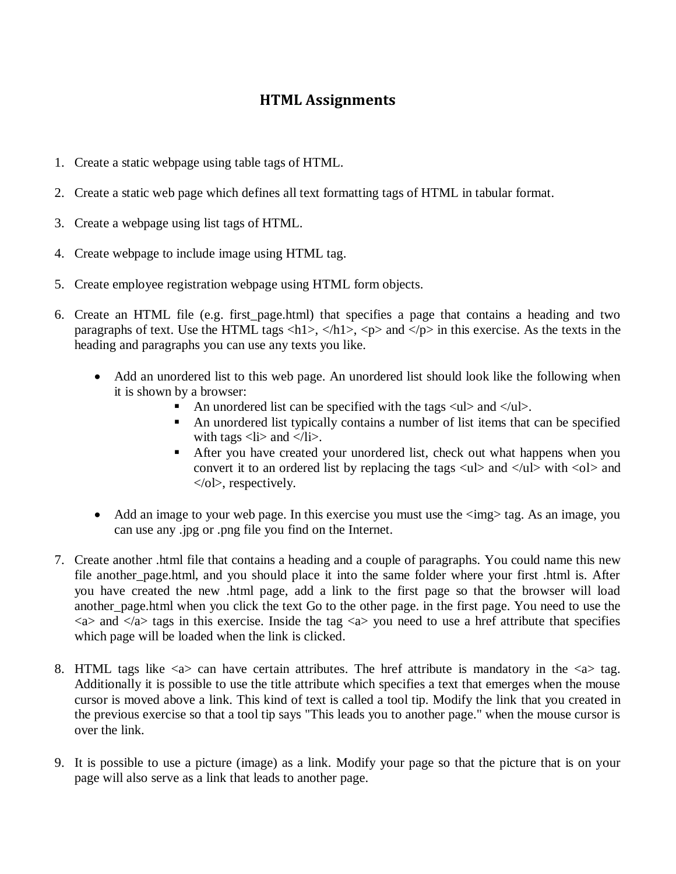## **HTML Assignments**

- 1. Create a static webpage using table tags of HTML.
- 2. Create a static web page which defines all text formatting tags of HTML in tabular format.
- 3. Create a webpage using list tags of HTML.
- 4. Create webpage to include image using HTML tag.
- 5. Create employee registration webpage using HTML form objects.
- 6. Create an HTML file (e.g. first\_page.html) that specifies a page that contains a heading and two paragraphs of text. Use the HTML tags  $\langle h1 \rangle$ ,  $\langle h1 \rangle$ ,  $\langle p \rangle$  and  $\langle p \rangle$  in this exercise. As the texts in the heading and paragraphs you can use any texts you like.
	- Add an unordered list to this web page. An unordered list should look like the following when it is shown by a browser:
		- An unordered list can be specified with the tags  $\langle ul \rangle$  and  $\langle ul \rangle$ .
		- An unordered list typically contains a number of list items that can be specified with tags  $\langle$ li $\rangle$  and  $\langle$ /li $\rangle$ .
		- After you have created your unordered list, check out what happens when you convert it to an ordered list by replacing the tags  $\langle ul \rangle$  and  $\langle ul \rangle$  with  $\langle ol \rangle$  and </ol>, respectively.
	- Add an image to your web page. In this exercise you must use the  $\langle \text{img} \rangle$  tag. As an image, you can use any .jpg or .png file you find on the Internet.
- 7. Create another .html file that contains a heading and a couple of paragraphs. You could name this new file another\_page.html, and you should place it into the same folder where your first .html is. After you have created the new .html page, add a link to the first page so that the browser will load another\_page.html when you click the text Go to the other page. in the first page. You need to use the  $\langle a \rangle$  and  $\langle a \rangle$  tags in this exercise. Inside the tag  $\langle a \rangle$  you need to use a href attribute that specifies which page will be loaded when the link is clicked.
- 8. HTML tags like  $\langle a \rangle$  can have certain attributes. The href attribute is mandatory in the  $\langle a \rangle$  tag. Additionally it is possible to use the title attribute which specifies a text that emerges when the mouse cursor is moved above a link. This kind of text is called a tool tip. Modify the link that you created in the previous exercise so that a tool tip says "This leads you to another page." when the mouse cursor is over the link.
- 9. It is possible to use a picture (image) as a link. Modify your page so that the picture that is on your page will also serve as a link that leads to another page.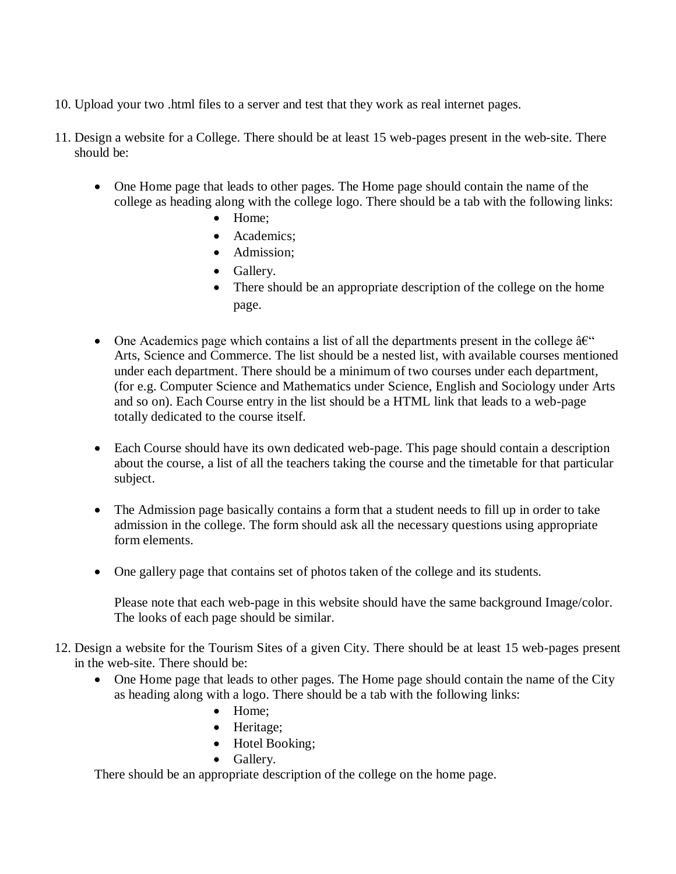- 10. Upload your two .html files to a server and test that they work as real internet pages.
- 11. Design a website for a College. There should be at least 15 web-pages present in the web-site. There should be:
	- One Home page that leads to other pages. The Home page should contain the name of the college as heading along with the college logo. There should be a tab with the following links:
		- Home:
		- Academics:
		- Admission:
		- Gallery.
		- There should be an appropriate description of the college on the home page.
	- $\bullet$  One Academics page which contains a list of all the departments present in the college  $\hat{a}\hat{\epsilon}^{\alpha}$ Arts, Science and Commerce. The list should be a nested list, with available courses mentioned under each department. There should be a minimum of two courses under each department, (for e.g. Computer Science and Mathematics under Science, English and Sociology under Arts and so on). Each Course entry in the list should be a HTML link that leads to a web-page totally dedicated to the course itself.
	- Each Course should have its own dedicated web-page. This page should contain a description about the course, a list of all the teachers taking the course and the timetable for that particular subject.
	- The Admission page basically contains a form that a student needs to fill up in order to take admission in the college. The form should ask all the necessary questions using appropriate form elements.
	- One gallery page that contains set of photos taken of the college and its students.

Please note that each web-page in this website should have the same background Image/color. The looks of each page should be similar.

- 12. Design a website for the Tourism Sites of a given City. There should be at least 15 web-pages present in the web-site. There should be:
	- One Home page that leads to other pages. The Home page should contain the name of the City as heading along with a logo. There should be a tab with the following links:
		- Home;
		- Heritage;
		- Hotel Booking;
		- Gallery.

There should be an appropriate description of the college on the home page.